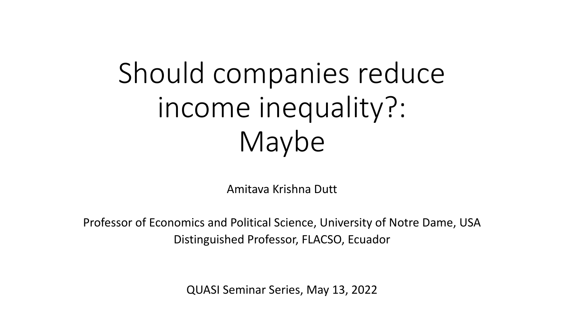# Should companies reduce income inequality?: Maybe

Amitava Krishna Dutt

Professor of Economics and Political Science, University of Notre Dame, USA Distinguished Professor, FLACSO, Ecuador

QUASI Seminar Series, May 13, 2022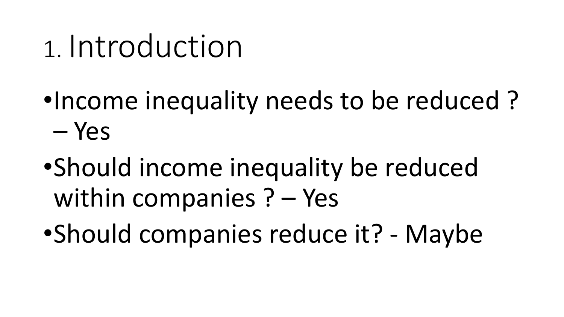# 1. Introduction

- •Income inequality needs to be reduced? – Yes
- •Should income inequality be reduced within companies  $? - Yes$
- •Should companies reduce it? Maybe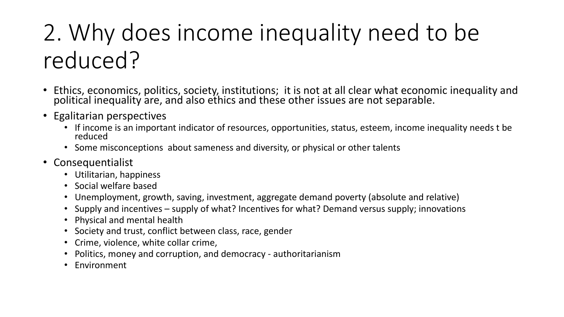## 2. Why does income inequality need to be reduced?

- Ethics, economics, politics, society, institutions; it is not at all clear what economic inequality and political inequality and also ethics and these other issues are not separable.
- Egalitarian perspectives
	- If income is an important indicator of resources, opportunities, status, esteem, income inequality needs t be reduced
	- Some misconceptions about sameness and diversity, or physical or other talents
- Consequentialist
	- Utilitarian, happiness
	- Social welfare based
	- Unemployment, growth, saving, investment, aggregate demand poverty (absolute and relative)
	- Supply and incentives supply of what? Incentives for what? Demand versus supply; innovations
	- Physical and mental health
	- Society and trust, conflict between class, race, gender
	- Crime, violence, white collar crime,
	- Politics, money and corruption, and democracy authoritarianism
	- Environment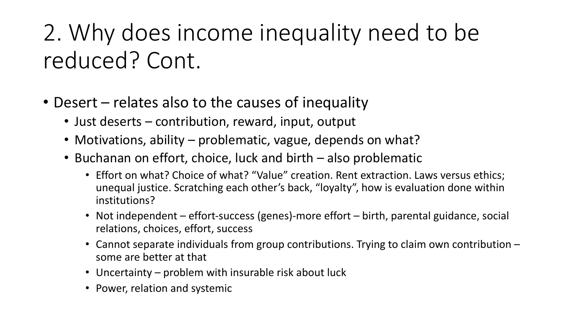### 2. Why does income inequality need to be reduced? Cont.

- Desert  $-$  relates also to the causes of inequality
	- Just deserts contribution, reward, input, output
	- Motivations, ability problematic, vague, depends on what?
	- Buchanan on effort, choice, luck and birth also problematic
		- Effort on what? Choice of what? "Value" creation. Rent extraction. Laws versus ethics; unequal justice. Scratching each other's back, "loyalty", how is evaluation done within institutions?
		- Not independent effort-success (genes)-more effort birth, parental guidance, social relations, choices, effort, success
		- Cannot separate individuals from group contributions. Trying to claim own contribution some are better at that
		- Uncertainty  $-$  problem with insurable risk about luck
		- Power, relation and systemic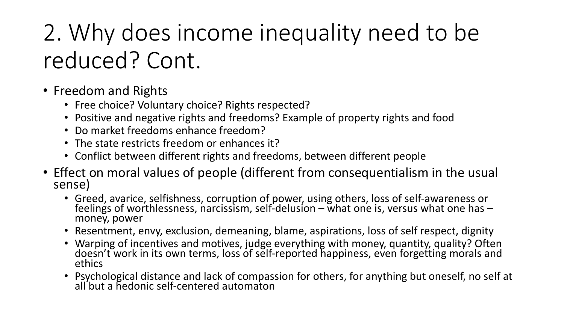## 2. Why does income inequality need to be reduced? Cont.

- Freedom and Rights
	- Free choice? Voluntary choice? Rights respected?
	- Positive and negative rights and freedoms? Example of property rights and food
	- Do market freedoms enhance freedom?
	- The state restricts freedom or enhances it?
	- Conflict between different rights and freedoms, between different people
- Effect on moral values of people (different from consequentialism in the usual sense)
	- Greed, avarice, selfishness, corruption of power, using others, loss of self-awareness or feelings of worthlessness, narcissism, self-delusion – what one is, versus what one has –<br>money, power
	- Resentment, envy, exclusion, demeaning, blame, aspirations, loss of self respect, dignity
	- Warping of incentives and motives, judge everything with money, quantity, quality? Often doesn't work in its own terms, loss of self-reported happiness, even forgetting morals and<br>ethics
	- Psychological distance and lack of compassion for others, for anything but oneself, no self at all'but a hedonic self-centered automaton